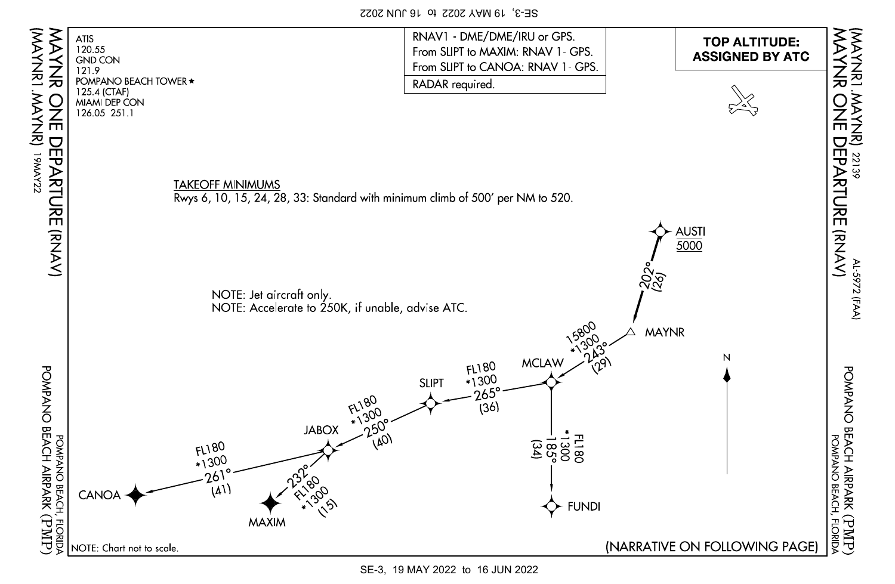SE-3, 19 MAY 2022 to 16 JUN 2022



SE-3, 19 MAY 2022 to 16 JUN 2022